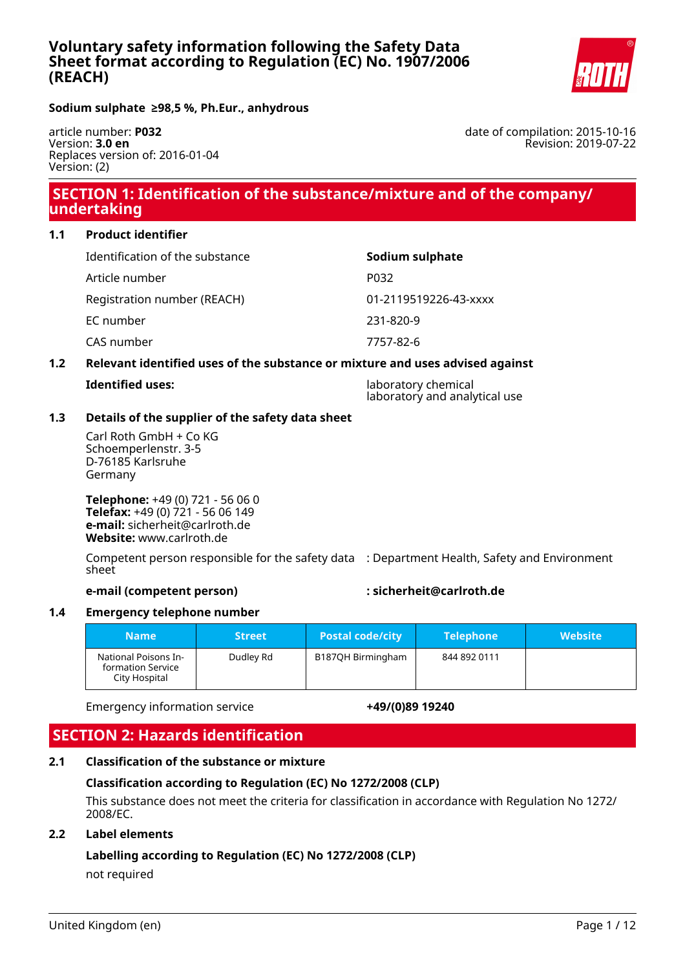### **Voluntary safety information following the Safety Data Sheet format according to Regulation (EC) No. 1907/2006 (REACH)**



date of compilation: 2015-10-16

Revision: 2019-07-22

**Sodium sulphate ≥98,5 %, Ph.Eur., anhydrous**

article number: **P032** Version: **3.0 en** Replaces version of: 2016-01-04 Version: (2)

### **SECTION 1: Identification of the substance/mixture and of the company/ undertaking**

#### **1.1 Product identifier**

| Identification of the substance | Sodium sulphate       |
|---------------------------------|-----------------------|
| Article number                  | P <sub>0</sub> 32     |
| Registration number (REACH)     | 01-2119519226-43-xxxx |
| EC number                       | 231-820-9             |
| CAS number                      | 7757-82-6             |

#### **1.2 Relevant identified uses of the substance or mixture and uses advised against**

|  |  | <b>Identified uses:</b> |
|--|--|-------------------------|
|  |  |                         |

**Iaboratory chemical** laboratory and analytical use

#### **1.3 Details of the supplier of the safety data sheet**

Carl Roth GmbH + Co KG Schoemperlenstr. 3-5 D-76185 Karlsruhe Germany

**Telephone:** +49 (0) 721 - 56 06 0 **Telefax:** +49 (0) 721 - 56 06 149 **e-mail:** sicherheit@carlroth.de **Website:** www.carlroth.de

Competent person responsible for the safety data : Department Health, Safety and Environment sheet

#### **e-mail (competent person) : sicherheit@carlroth.de**

#### **1.4 Emergency telephone number**

| <b>Name</b>                                                | <b>Street</b> | <b>Postal code/city</b> | <b>Telephone</b> | <b>Website</b> |
|------------------------------------------------------------|---------------|-------------------------|------------------|----------------|
| National Poisons In-<br>formation Service<br>City Hospital | Dudley Rd     | B187QH Birmingham       | 844 892 0111     |                |

Emergency information service **+49/(0)89 19240**

### **SECTION 2: Hazards identification**

#### **2.1 Classification of the substance or mixture**

#### **Classification according to Regulation (EC) No 1272/2008 (CLP)**

This substance does not meet the criteria for classification in accordance with Regulation No 1272/ 2008/EC.

#### **2.2 Label elements**

#### **Labelling according to Regulation (EC) No 1272/2008 (CLP)**

not required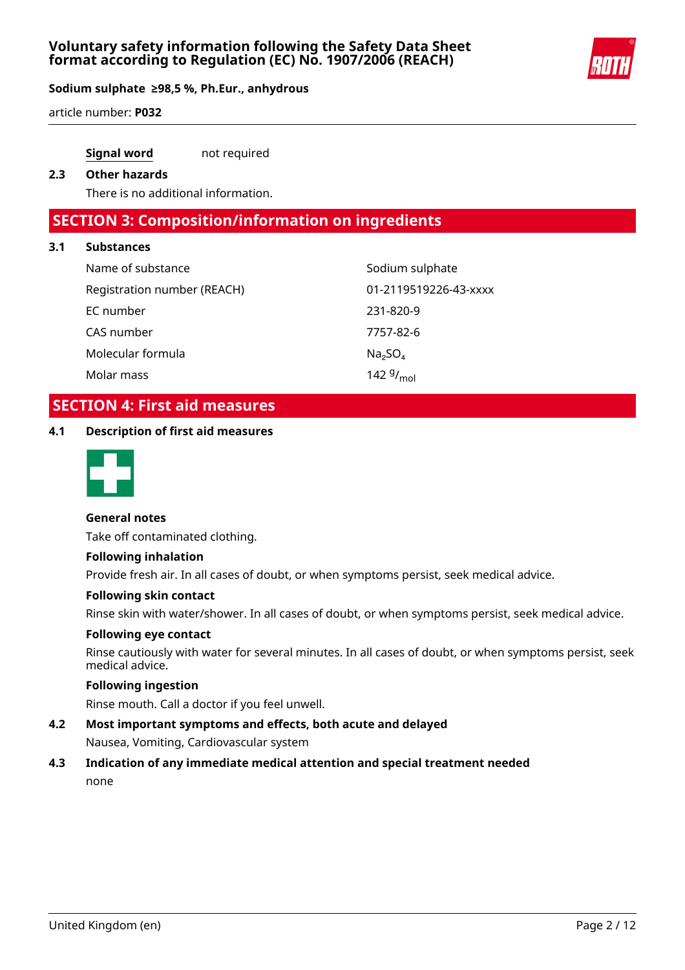

article number: **P032**

#### **Signal word** not required

#### **2.3 Other hazards**

There is no additional information.

### **SECTION 3: Composition/information on ingredients**

#### **3.1 Substances**

| Name of substance           | Sodium sulphate                 |
|-----------------------------|---------------------------------|
| Registration number (REACH) | 01-2119519226-43-xxxx           |
| EC number                   | 231-820-9                       |
| CAS number                  | 7757-82-6                       |
| Molecular formula           | Na <sub>2</sub> SO <sub>4</sub> |
| Molar mass                  | 142 $9/_{mol}$                  |

### **SECTION 4: First aid measures**

#### **4.1 Description of first aid measures**



#### **General notes**

Take off contaminated clothing.

#### **Following inhalation**

Provide fresh air. In all cases of doubt, or when symptoms persist, seek medical advice.

#### **Following skin contact**

Rinse skin with water/shower. In all cases of doubt, or when symptoms persist, seek medical advice.

#### **Following eye contact**

Rinse cautiously with water for several minutes. In all cases of doubt, or when symptoms persist, seek medical advice.

#### **Following ingestion**

Rinse mouth. Call a doctor if you feel unwell.

### **4.2 Most important symptoms and effects, both acute and delayed**

Nausea, Vomiting, Cardiovascular system

#### **4.3 Indication of any immediate medical attention and special treatment needed** none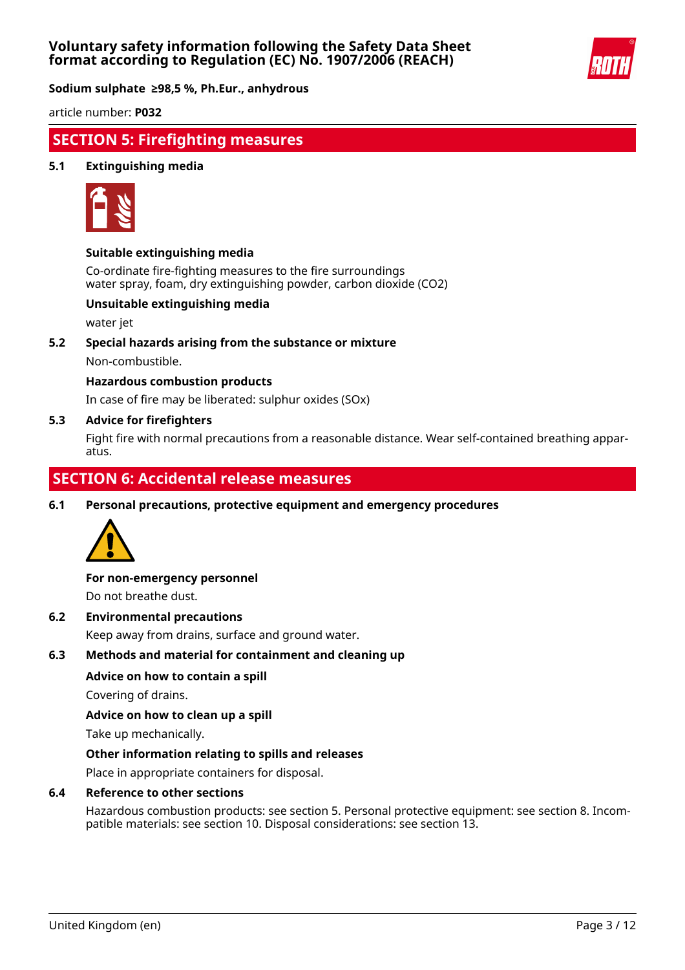

article number: **P032**

### **SECTION 5: Firefighting measures**

#### **5.1 Extinguishing media**



#### **Suitable extinguishing media**

Co-ordinate fire-fighting measures to the fire surroundings water spray, foam, dry extinguishing powder, carbon dioxide (CO2)

#### **Unsuitable extinguishing media**

water jet

**5.2 Special hazards arising from the substance or mixture** Non-combustible.

**Hazardous combustion products**

In case of fire may be liberated: sulphur oxides (SOx)

#### **5.3 Advice for firefighters**

Fight fire with normal precautions from a reasonable distance. Wear self-contained breathing apparatus.

### **SECTION 6: Accidental release measures**

**6.1 Personal precautions, protective equipment and emergency procedures**



**For non-emergency personnel**

Do not breathe dust.

**6.2 Environmental precautions**

Keep away from drains, surface and ground water.

#### **6.3 Methods and material for containment and cleaning up**

#### **Advice on how to contain a spill**

Covering of drains.

**Advice on how to clean up a spill**

Take up mechanically.

#### **Other information relating to spills and releases**

Place in appropriate containers for disposal.

#### **6.4 Reference to other sections**

Hazardous combustion products: see section 5. Personal protective equipment: see section 8. Incompatible materials: see section 10. Disposal considerations: see section 13.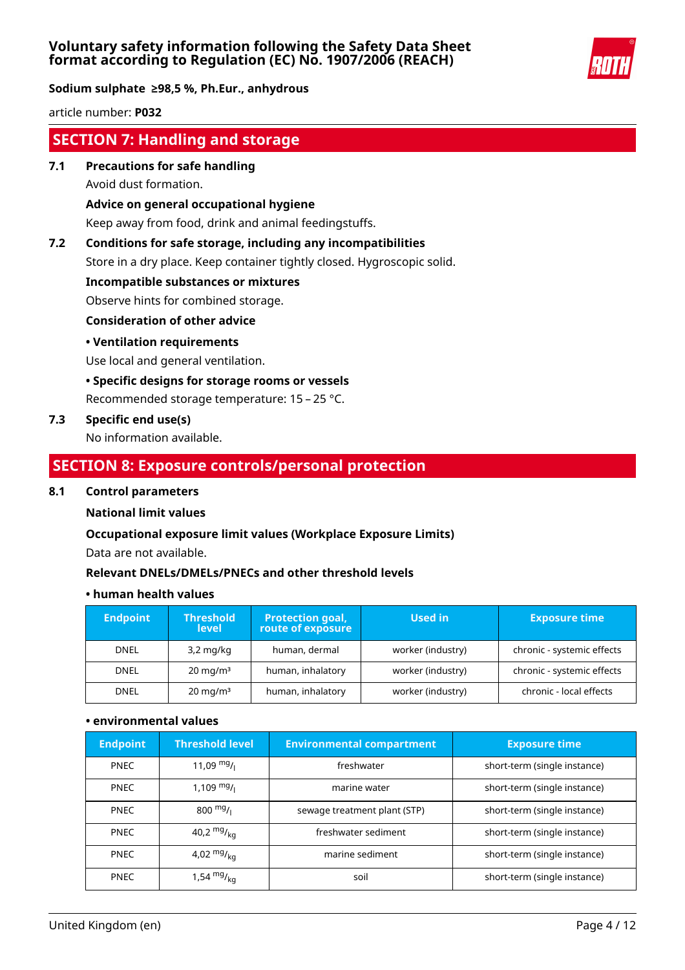

article number: **P032**

### **SECTION 7: Handling and storage**

**7.1 Precautions for safe handling**

Avoid dust formation.

# **Advice on general occupational hygiene**

Keep away from food, drink and animal feedingstuffs.

#### **7.2 Conditions for safe storage, including any incompatibilities**

Store in a dry place. Keep container tightly closed. Hygroscopic solid.

#### **Incompatible substances or mixtures**

Observe hints for combined storage.

#### **Consideration of other advice**

#### **• Ventilation requirements**

Use local and general ventilation.

#### **• Specific designs for storage rooms or vessels**

Recommended storage temperature: 15 – 25 °C.

#### **7.3 Specific end use(s)**

No information available.

### **SECTION 8: Exposure controls/personal protection**

#### **8.1 Control parameters**

#### **National limit values**

#### **Occupational exposure limit values (Workplace Exposure Limits)**

Data are not available.

#### **Relevant DNELs/DMELs/PNECs and other threshold levels**

#### **• human health values**

| <b>Endpoint</b> | <b>Threshold</b><br><b>level</b> | <b>Protection goal,</b><br>route of exposure | Used in           | <b>Exposure time</b>       |
|-----------------|----------------------------------|----------------------------------------------|-------------------|----------------------------|
| <b>DNEL</b>     | $3,2 \text{ mg/kg}$              | human, dermal                                | worker (industry) | chronic - systemic effects |
| <b>DNEL</b>     | $20 \text{ mg/m}^3$              | human, inhalatory                            | worker (industry) | chronic - systemic effects |
| <b>DNEL</b>     | $20 \text{ mg/m}^3$              | human, inhalatory                            | worker (industry) | chronic - local effects    |

#### **• environmental values**

| <b>Endpoint</b> | <b>Threshold level</b> | <b>Environmental compartment</b> | <b>Exposure time</b>         |
|-----------------|------------------------|----------------------------------|------------------------------|
| <b>PNEC</b>     | $11,09$ mg/            | freshwater                       | short-term (single instance) |
| <b>PNEC</b>     | 1,109 $mg/1$           | marine water                     | short-term (single instance) |
| <b>PNEC</b>     | 800 $mg/1$             | sewage treatment plant (STP)     | short-term (single instance) |
| <b>PNEC</b>     | 40,2 $mg/_{kq}$        | freshwater sediment              | short-term (single instance) |
| <b>PNEC</b>     | 4,02 $mg/kq$           | marine sediment                  | short-term (single instance) |
| <b>PNEC</b>     | 1,54 $mg/kq$           | soil                             | short-term (single instance) |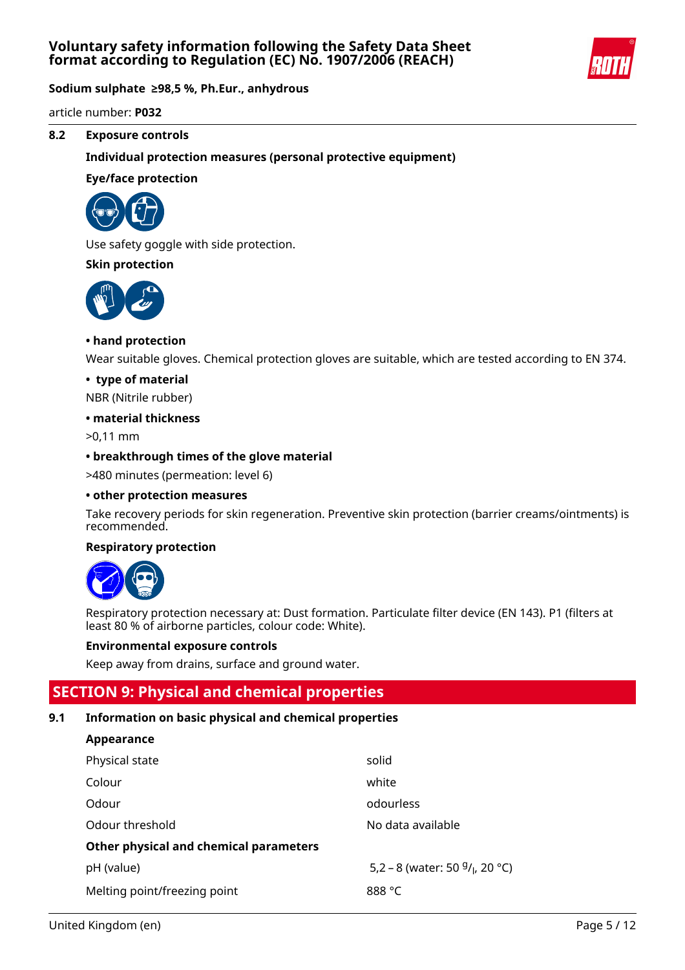

article number: **P032**

#### **8.2 Exposure controls**

#### **Individual protection measures (personal protective equipment)**

#### **Eye/face protection**



Use safety goggle with side protection.

#### **Skin protection**



#### **• hand protection**

Wear suitable gloves. Chemical protection gloves are suitable, which are tested according to EN 374.

#### **• type of material**

NBR (Nitrile rubber)

#### **• material thickness**

>0,11 mm

#### **• breakthrough times of the glove material**

>480 minutes (permeation: level 6)

#### **• other protection measures**

Take recovery periods for skin regeneration. Preventive skin protection (barrier creams/ointments) is recommended.

#### **Respiratory protection**



Respiratory protection necessary at: Dust formation. Particulate filter device (EN 143). P1 (filters at least 80 % of airborne particles, colour code: White).

#### **Environmental exposure controls**

Keep away from drains, surface and ground water.

### **SECTION 9: Physical and chemical properties**

#### **9.1 Information on basic physical and chemical properties**

#### **Appearance**

| Physical state                         | solid                             |
|----------------------------------------|-----------------------------------|
| Colour                                 | white                             |
| Odour                                  | odourless                         |
| Odour threshold                        | No data available                 |
| Other physical and chemical parameters |                                   |
| pH (value)                             | 5,2 – 8 (water: 50 $9/1$ , 20 °C) |
| Melting point/freezing point           | 888 °C                            |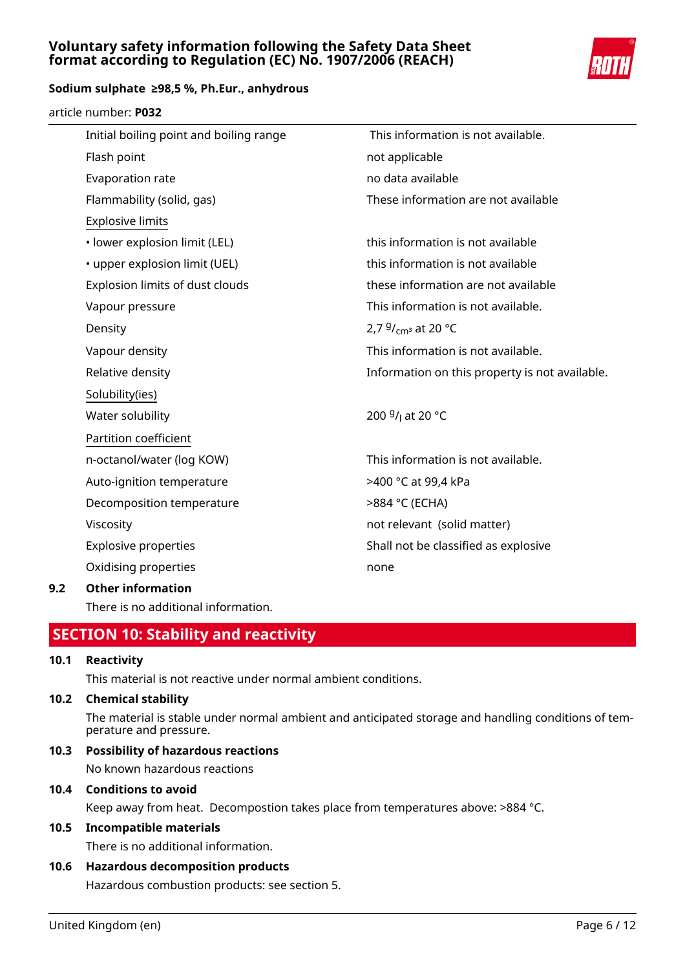### **Voluntary safety information following the Safety Data Sheet format according to Regulation (EC) No. 1907/2006 (REACH)**



#### **Sodium sulphate ≥98,5 %, Ph.Eur., anhydrous**

#### article number: **P032**

| Initial boiling point and boiling range                                                     | This information is not available.             |
|---------------------------------------------------------------------------------------------|------------------------------------------------|
| Flash point                                                                                 | not applicable                                 |
| Evaporation rate                                                                            | no data available                              |
| Flammability (solid, gas)                                                                   | These information are not available            |
| <b>Explosive limits</b>                                                                     |                                                |
| • lower explosion limit (LEL)                                                               | this information is not available              |
| • upper explosion limit (UEL)                                                               | this information is not available              |
| Explosion limits of dust clouds                                                             | these information are not available            |
| Vapour pressure                                                                             | This information is not available.             |
| Density                                                                                     | 2,7 $9/$ <sub>cm</sub> at 20 °C                |
| Vapour density                                                                              | This information is not available.             |
| Relative density                                                                            | Information on this property is not available. |
| Solubility(ies)                                                                             |                                                |
| Water solubility                                                                            | 200 <sup>g</sup> / <sub>l</sub> at 20 °C       |
| Partition coefficient                                                                       |                                                |
| n-octanol/water (log KOW)                                                                   | This information is not available.             |
| Auto-ignition temperature                                                                   | >400 °C at 99,4 kPa                            |
| Decomposition temperature                                                                   | >884 °C (ECHA)                                 |
| Viscosity                                                                                   | not relevant (solid matter)                    |
| <b>Explosive properties</b>                                                                 | Shall not be classified as explosive           |
| Oxidising properties                                                                        | none                                           |
| $\bigcap_{i=1}^{n}$ and $\bigcup_{i=1}^{n}$ and $\bigcap_{i=1}^{n}$ and $\bigcap_{i=1}^{n}$ |                                                |

#### **9.2 Other information**

There is no additional information.

### **SECTION 10: Stability and reactivity**

#### **10.1 Reactivity**

This material is not reactive under normal ambient conditions.

#### **10.2 Chemical stability**

The material is stable under normal ambient and anticipated storage and handling conditions of temperature and pressure.

### **10.3 Possibility of hazardous reactions**

No known hazardous reactions

### **10.4 Conditions to avoid**

Keep away from heat. Decompostion takes place from temperatures above: >884 °C.

## **10.5 Incompatible materials**

There is no additional information.

### **10.6 Hazardous decomposition products**

Hazardous combustion products: see section 5.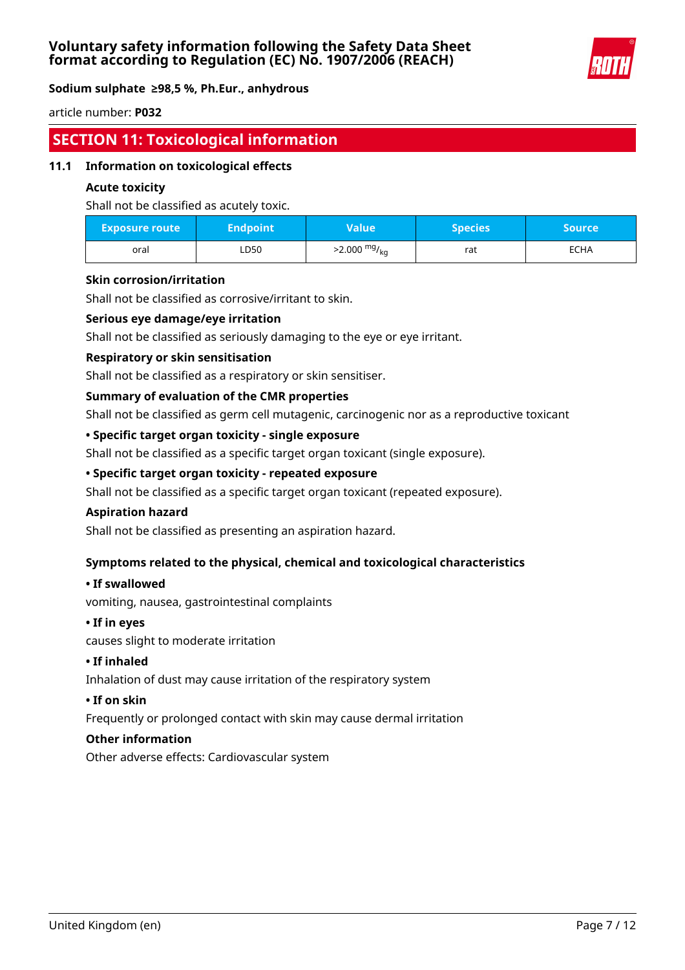

article number: **P032**

### **SECTION 11: Toxicological information**

#### **11.1 Information on toxicological effects**

#### **Acute toxicity**

Shall not be classified as acutely toxic.

| <b>Exposure route</b> | <b>Endpoint</b> | <b>Value</b>           | <b>Species</b> | Source |
|-----------------------|-----------------|------------------------|----------------|--------|
| oral                  | LD50            | $>2.000 \frac{mg}{kg}$ | rat            | ECHA   |

#### **Skin corrosion/irritation**

Shall not be classified as corrosive/irritant to skin.

#### **Serious eye damage/eye irritation**

Shall not be classified as seriously damaging to the eye or eye irritant.

#### **Respiratory or skin sensitisation**

Shall not be classified as a respiratory or skin sensitiser.

#### **Summary of evaluation of the CMR properties**

Shall not be classified as germ cell mutagenic, carcinogenic nor as a reproductive toxicant

#### **• Specific target organ toxicity - single exposure**

Shall not be classified as a specific target organ toxicant (single exposure).

#### **• Specific target organ toxicity - repeated exposure**

Shall not be classified as a specific target organ toxicant (repeated exposure).

#### **Aspiration hazard**

Shall not be classified as presenting an aspiration hazard.

#### **Symptoms related to the physical, chemical and toxicological characteristics**

#### **• If swallowed**

vomiting, nausea, gastrointestinal complaints

#### **• If in eyes**

causes slight to moderate irritation

#### **• If inhaled**

Inhalation of dust may cause irritation of the respiratory system

#### **• If on skin**

Frequently or prolonged contact with skin may cause dermal irritation

#### **Other information**

Other adverse effects: Cardiovascular system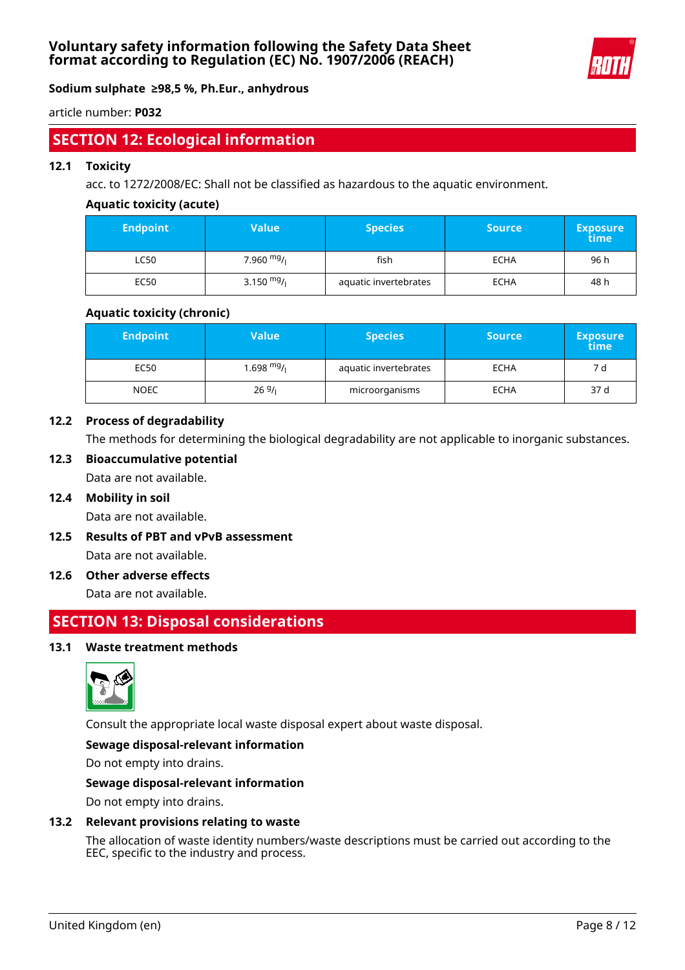

article number: **P032**

### **SECTION 12: Ecological information**

#### **12.1 Toxicity**

acc. to 1272/2008/EC: Shall not be classified as hazardous to the aquatic environment.

#### **Aquatic toxicity (acute)**

| <b>Endpoint</b> | Value       | <b>Species</b>        | <b>Source</b> | <b>Exposure</b><br>time |
|-----------------|-------------|-----------------------|---------------|-------------------------|
| LC50            | 7.960 $mg/$ | fish                  | <b>ECHA</b>   | 96 h                    |
| EC50            | 3.150 $mg/$ | aquatic invertebrates | <b>ECHA</b>   | 48 h                    |

#### **Aquatic toxicity (chronic)**

| <b>Endpoint</b> | Value        | <b>Species</b>        | <b>Source</b> | <b>Exposure</b><br>time |
|-----------------|--------------|-----------------------|---------------|-------------------------|
| EC50            | 1.698 $mg/1$ | aquatic invertebrates | <b>ECHA</b>   | 7 d                     |
| <b>NOEC</b>     | 269/1        | microorganisms        | <b>ECHA</b>   | 37 d                    |

#### **12.2 Process of degradability**

The methods for determining the biological degradability are not applicable to inorganic substances.

**12.3 Bioaccumulative potential**

Data are not available.

**12.4 Mobility in soil**

Data are not available.

- **12.5 Results of PBT and vPvB assessment** Data are not available.
- **12.6 Other adverse effects**

Data are not available.

### **SECTION 13: Disposal considerations**

#### **13.1 Waste treatment methods**



Consult the appropriate local waste disposal expert about waste disposal.

#### **Sewage disposal-relevant information**

Do not empty into drains.

#### **Sewage disposal-relevant information**

Do not empty into drains.

#### **13.2 Relevant provisions relating to waste**

The allocation of waste identity numbers/waste descriptions must be carried out according to the EEC, specific to the industry and process.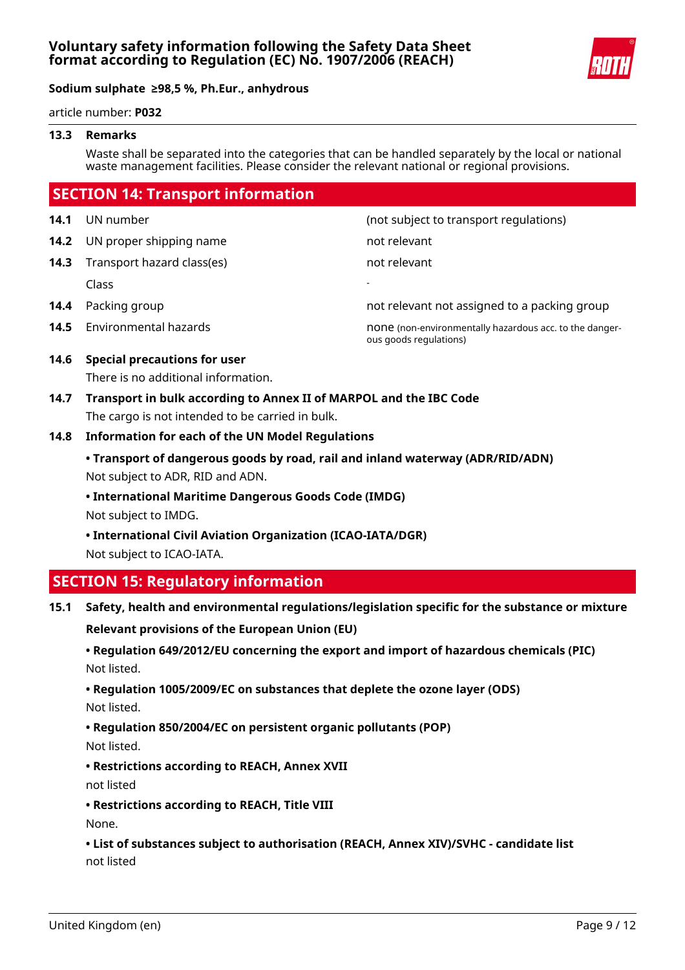

article number: **P032**

#### **13.3 Remarks**

Waste shall be separated into the categories that can be handled separately by the local or national waste management facilities. Please consider the relevant national or regional provisions.

### **SECTION 14: Transport information**

**14.1** UN number **14.1** UN number **14.2** UN proper shipping name not relevant **14.3** Transport hazard class(es) not relevant Class - **14.4** Packing group **14.4** Packing group **not relevant not assigned to a packing group 14.5** Environmental hazards **none (non-environmentally hazardous acc. to the danger**ous goods regulations)

#### **14.6 Special precautions for user**

There is no additional information.

**14.7 Transport in bulk according to Annex II of MARPOL and the IBC Code** The cargo is not intended to be carried in bulk.

#### **14.8 Information for each of the UN Model Regulations**

- **Transport of dangerous goods by road, rail and inland waterway (ADR/RID/ADN)** Not subject to ADR, RID and ADN.
- **International Maritime Dangerous Goods Code (IMDG)** Not subject to IMDG.
- **International Civil Aviation Organization (ICAO-IATA/DGR)**

Not subject to ICAO-IATA.

### **SECTION 15: Regulatory information**

**15.1 Safety, health and environmental regulations/legislation specific for the substance or mixture Relevant provisions of the European Union (EU)**

### **• Regulation 649/2012/EU concerning the export and import of hazardous chemicals (PIC)** Not listed.

# **• Regulation 1005/2009/EC on substances that deplete the ozone layer (ODS)**

Not listed.

**• Regulation 850/2004/EC on persistent organic pollutants (POP)**

Not listed.

**• Restrictions according to REACH, Annex XVII**

not listed

**• Restrictions according to REACH, Title VIII**

None.

**• List of substances subject to authorisation (REACH, Annex XIV)/SVHC - candidate list** not listed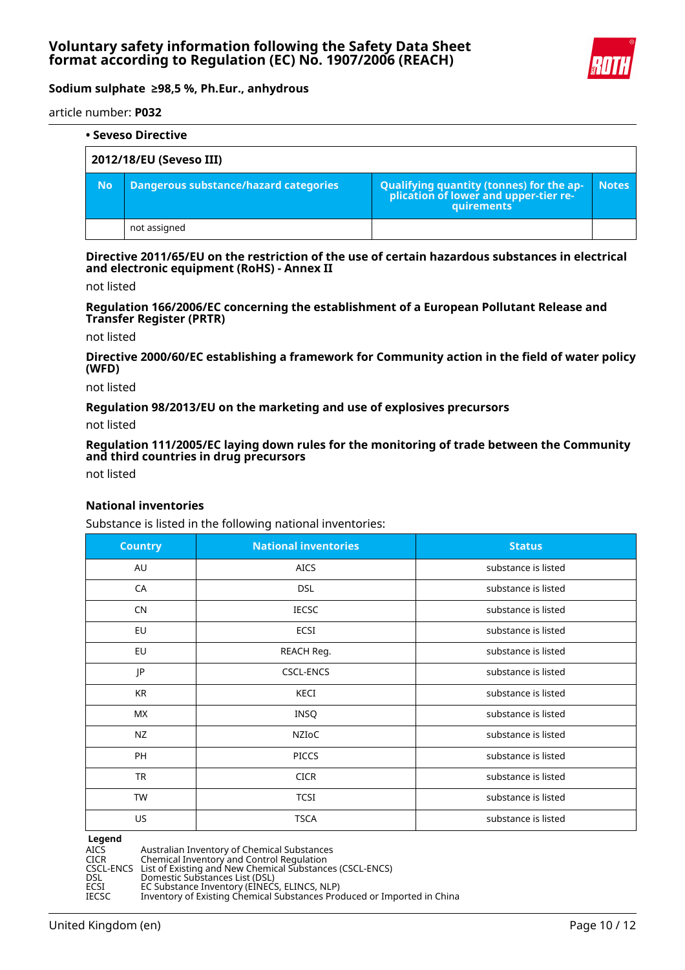

article number: **P032**

|           | • Seveso Directive                    |                                                                                                        |              |  |  |
|-----------|---------------------------------------|--------------------------------------------------------------------------------------------------------|--------------|--|--|
|           | 2012/18/EU (Seveso III)               |                                                                                                        |              |  |  |
| <b>No</b> | Dangerous substance/hazard categories | <b>Qualifying quantity (tonnes) for the ap-</b><br>plication of lower and upper-tier re-<br>quirements | <b>Notes</b> |  |  |
|           | not assigned                          |                                                                                                        |              |  |  |

**Directive 2011/65/EU on the restriction of the use of certain hazardous substances in electrical and electronic equipment (RoHS) - Annex II**

#### not listed

**Regulation 166/2006/EC concerning the establishment of a European Pollutant Release and Transfer Register (PRTR)**

not listed

**Directive 2000/60/EC establishing a framework for Community action in the field of water policy (WFD)**

not listed

**Regulation 98/2013/EU on the marketing and use of explosives precursors**

not listed

**Regulation 111/2005/EC laying down rules for the monitoring of trade between the Community and third countries in drug precursors**

not listed

#### **National inventories**

Substance is listed in the following national inventories:

| <b>Country</b> | <b>National inventories</b> | <b>Status</b>       |
|----------------|-----------------------------|---------------------|
| AU             | <b>AICS</b>                 | substance is listed |
| CA             | <b>DSL</b>                  | substance is listed |
| <b>CN</b>      | <b>IECSC</b>                | substance is listed |
| EU             | ECSI                        | substance is listed |
| EU             | REACH Reg.                  | substance is listed |
| JP             | <b>CSCL-ENCS</b>            | substance is listed |
| KR             | KECI                        | substance is listed |
| <b>MX</b>      | INSQ                        | substance is listed |
| <b>NZ</b>      | NZIOC                       | substance is listed |
| PH             | <b>PICCS</b>                | substance is listed |
| <b>TR</b>      | <b>CICR</b>                 | substance is listed |
| <b>TW</b>      | <b>TCSI</b>                 | substance is listed |
| US             | <b>TSCA</b>                 | substance is listed |

# **Legend**<br>AICS

AICS Australian Inventory of Chemical Substances<br>CICR Chemical Inventory and Control Regulation

CICR Chemical Inventory and Control Regulation

CSCL-ENCS List of Existing and New Chemical Substances (CSCL-ENCS)

DSL Domestic Substances List (DSL)

ECSI EC Substance Inventory (EINECS, ELINCS, NLP)

IECSC Inventory of Existing Chemical Substances Produced or Imported in China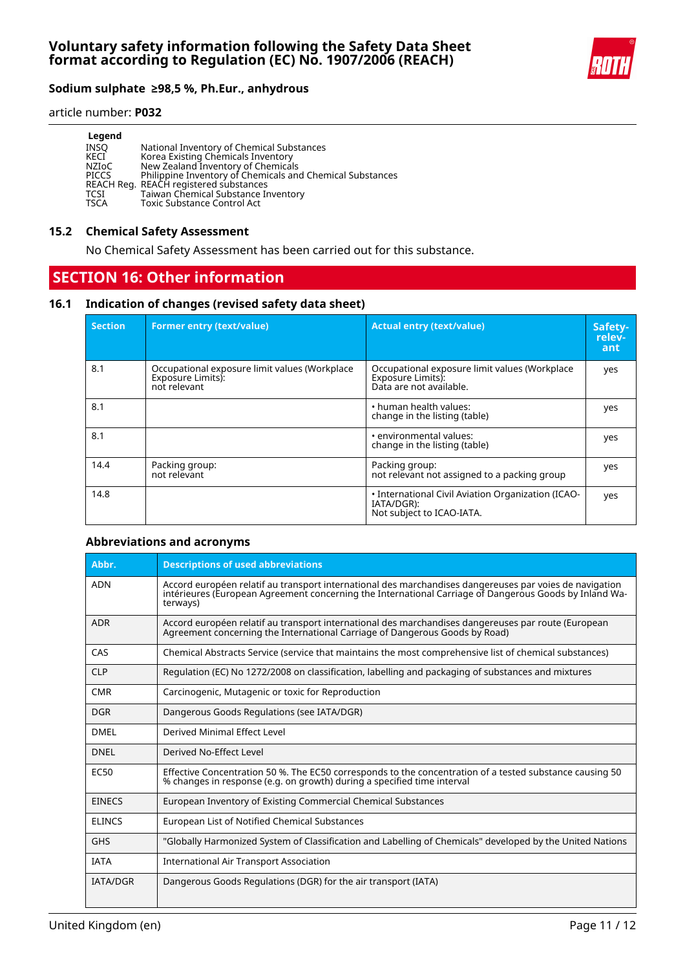

article number: **P032**

| Legend       |                                                           |
|--------------|-----------------------------------------------------------|
| INSO         | National Inventory of Chemical Substances                 |
| KECI         | Korea Existing Chemicals Inventory                        |
| NZIoC        | New Zealand Inventory of Chemicals                        |
| <b>PICCS</b> | Philippine Inventory of Chemicals and Chemical Substances |
|              | REACH Reg. REACH registered substances                    |
| <b>TCSI</b>  | Taiwan Chemical Substance Inventory                       |
| <b>TSCA</b>  | <b>Toxic Substance Control Act</b>                        |

#### **15.2 Chemical Safety Assessment**

No Chemical Safety Assessment has been carried out for this substance.

### **SECTION 16: Other information**

#### **16.1 Indication of changes (revised safety data sheet)**

| <b>Section</b> | <b>Former entry (text/value)</b>                                                   | <b>Actual entry (text/value)</b>                                                              | Safety-<br>relev-<br>ant |
|----------------|------------------------------------------------------------------------------------|-----------------------------------------------------------------------------------------------|--------------------------|
| 8.1            | Occupational exposure limit values (Workplace<br>Exposure Limits):<br>not relevant | Occupational exposure limit values (Workplace<br>Exposure Limits):<br>Data are not available. | yes                      |
| 8.1            |                                                                                    | $\cdot$ human health values:<br>change in the listing (table)                                 | yes                      |
| 8.1            |                                                                                    | • environmental values:<br>change in the listing (table)                                      | yes                      |
| 14.4           | Packing group:<br>not relevant                                                     | Packing group:<br>not relevant not assigned to a packing group                                | yes                      |
| 14.8           |                                                                                    | . International Civil Aviation Organization (ICAO-<br>IATA/DGR):<br>Not subject to ICAO-IATA. | yes                      |

#### **Abbreviations and acronyms**

| Abbr.           | <b>Descriptions of used abbreviations</b>                                                                                                                                                                                     |
|-----------------|-------------------------------------------------------------------------------------------------------------------------------------------------------------------------------------------------------------------------------|
| <b>ADN</b>      | Accord européen relatif au transport international des marchandises dangereuses par voies de navigation<br>intérieures (European Agreement concerning the International Carriage of Dangerous Goods by Inland Wa-<br>terways) |
| <b>ADR</b>      | Accord européen relatif au transport international des marchandises dangereuses par route (European<br>Agreement concerning the International Carriage of Dangerous Goods by Road)                                            |
| CAS             | Chemical Abstracts Service (service that maintains the most comprehensive list of chemical substances)                                                                                                                        |
| <b>CLP</b>      | Regulation (EC) No 1272/2008 on classification, labelling and packaging of substances and mixtures                                                                                                                            |
| <b>CMR</b>      | Carcinogenic, Mutagenic or toxic for Reproduction                                                                                                                                                                             |
| <b>DGR</b>      | Dangerous Goods Regulations (see IATA/DGR)                                                                                                                                                                                    |
| <b>DMEL</b>     | Derived Minimal Effect Level                                                                                                                                                                                                  |
| <b>DNEL</b>     | Derived No-Effect Level                                                                                                                                                                                                       |
| <b>EC50</b>     | Effective Concentration 50 %. The EC50 corresponds to the concentration of a tested substance causing 50<br>% changes in response (e.g. on growth) during a specified time interval                                           |
| <b>EINECS</b>   | European Inventory of Existing Commercial Chemical Substances                                                                                                                                                                 |
| <b>ELINCS</b>   | European List of Notified Chemical Substances                                                                                                                                                                                 |
| GHS             | "Globally Harmonized System of Classification and Labelling of Chemicals" developed by the United Nations                                                                                                                     |
| <b>IATA</b>     | International Air Transport Association                                                                                                                                                                                       |
| <b>IATA/DGR</b> | Dangerous Goods Regulations (DGR) for the air transport (IATA)                                                                                                                                                                |